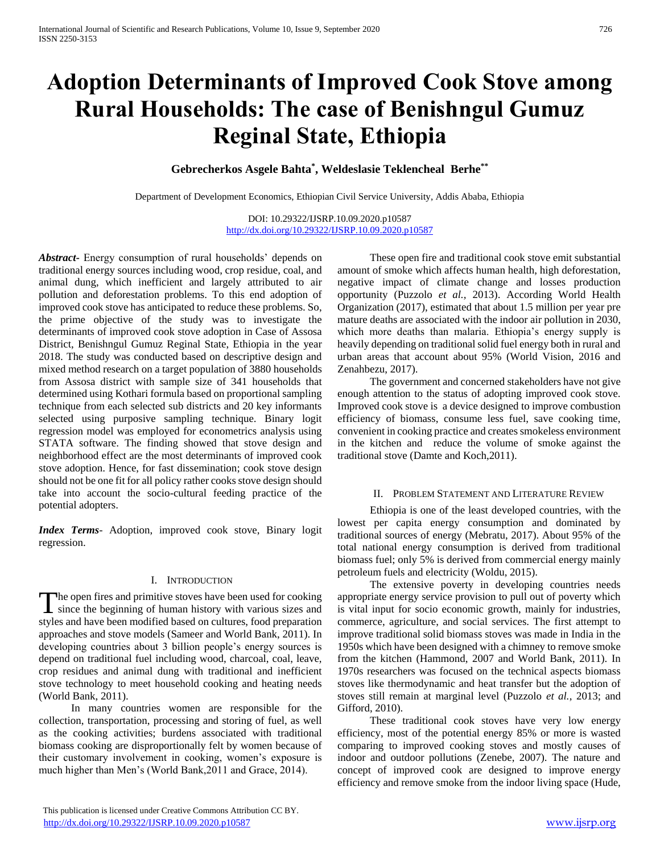# **Adoption Determinants of Improved Cook Stove among Rural Households: The case of Benishngul Gumuz Reginal State, Ethiopia**

**Gebrecherkos Asgele Bahta\* , Weldeslasie Teklencheal Berhe\*\*** 

Department of Development Economics, Ethiopian Civil Service University, Addis Ababa, Ethiopia

DOI: 10.29322/IJSRP.10.09.2020.p10587 <http://dx.doi.org/10.29322/IJSRP.10.09.2020.p10587>

*Abstract***-** Energy consumption of rural households' depends on traditional energy sources including wood, crop residue, coal, and animal dung, which inefficient and largely attributed to air pollution and deforestation problems. To this end adoption of improved cook stove has anticipated to reduce these problems. So, the prime objective of the study was to investigate the determinants of improved cook stove adoption in Case of Assosa District, Benishngul Gumuz Reginal State, Ethiopia in the year 2018. The study was conducted based on descriptive design and mixed method research on a target population of 3880 households from Assosa district with sample size of 341 households that determined using Kothari formula based on proportional sampling technique from each selected sub districts and 20 key informants selected using purposive sampling technique. Binary logit regression model was employed for econometrics analysis using STATA software. The finding showed that stove design and neighborhood effect are the most determinants of improved cook stove adoption. Hence, for fast dissemination; cook stove design should not be one fit for all policy rather cooks stove design should take into account the socio-cultural feeding practice of the potential adopters.

*Index Terms*- Adoption, improved cook stove, Binary logit regression.

# I. INTRODUCTION

The open fires and primitive stoves have been used for cooking The open fires and primitive stoves have been used for cooking<br>since the beginning of human history with various sizes and styles and have been modified based on cultures, food preparation approaches and stove models (Sameer and World Bank, 2011). In developing countries about 3 billion people's energy sources is depend on traditional fuel including wood, charcoal, coal, leave, crop residues and animal dung with traditional and inefficient stove technology to meet household cooking and heating needs (World Bank, 2011).

 In many countries women are responsible for the collection, transportation, processing and storing of fuel, as well as the cooking activities; burdens associated with traditional biomass cooking are disproportionally felt by women because of their customary involvement in cooking, women's exposure is much higher than Men's (World Bank,2011 and Grace, 2014).

 These open fire and traditional cook stove emit substantial amount of smoke which affects human health, high deforestation, negative impact of climate change and losses production opportunity (Puzzolo *et al.,* 2013). According World Health Organization (2017), estimated that about 1.5 million per year pre mature deaths are associated with the indoor air pollution in 2030, which more deaths than malaria. Ethiopia's energy supply is heavily depending on traditional solid fuel energy both in rural and urban areas that account about 95% (World Vision, 2016 and Zenahbezu, 2017).

 The government and concerned stakeholders have not give enough attention to the status of adopting improved cook stove. Improved cook stove is a device designed to improve combustion efficiency of biomass, consume less fuel, save cooking time, convenient in cooking practice and creates smokeless environment in the kitchen and reduce the volume of smoke against the traditional stove (Damte and Koch,2011).

## II. PROBLEM STATEMENT AND LITERATURE REVIEW

 Ethiopia is one of the least developed countries, with the lowest per capita energy consumption and dominated by traditional sources of energy (Mebratu, 2017). About 95% of the total national energy consumption is derived from traditional biomass fuel; only 5% is derived from commercial energy mainly petroleum fuels and electricity (Woldu, 2015).

 The extensive poverty in developing countries needs appropriate energy service provision to pull out of poverty which is vital input for socio economic growth, mainly for industries, commerce, agriculture, and social services. The first attempt to improve traditional solid biomass stoves was made in India in the 1950s which have been designed with a chimney to remove smoke from the kitchen (Hammond, 2007 and World Bank, 2011). In 1970s researchers was focused on the technical aspects biomass stoves like thermodynamic and heat transfer but the adoption of stoves still remain at marginal level (Puzzolo *et al.*, 2013; and Gifford, 2010).

 These traditional cook stoves have very low energy efficiency, most of the potential energy 85% or more is wasted comparing to improved cooking stoves and mostly causes of indoor and outdoor pollutions (Zenebe, 2007). The nature and concept of improved cook are designed to improve energy efficiency and remove smoke from the indoor living space (Hude,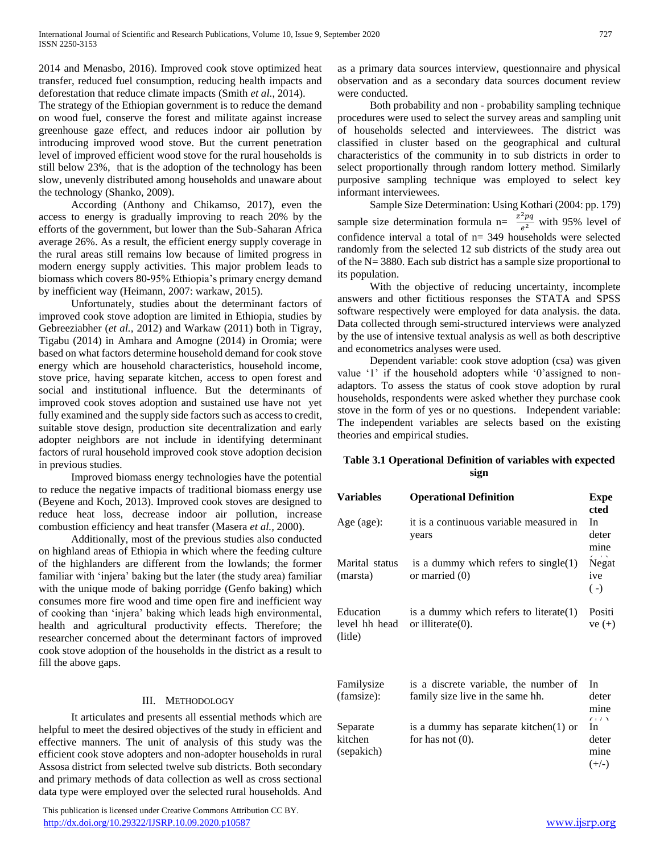2014 and Menasbo, 2016). Improved cook stove optimized heat transfer, reduced fuel consumption, reducing health impacts and deforestation that reduce climate impacts (Smith *et al.*, 2014).

The strategy of the Ethiopian government is to reduce the demand on wood fuel, conserve the forest and militate against increase greenhouse gaze effect, and reduces indoor air pollution by introducing improved wood stove. But the current penetration level of improved efficient wood stove for the rural households is still below 23%, that is the adoption of the technology has been slow, unevenly distributed among households and unaware about the technology (Shanko, 2009).

 According (Anthony and Chikamso, 2017), even the access to energy is gradually improving to reach 20% by the efforts of the government, but lower than the Sub-Saharan Africa average 26%. As a result, the efficient energy supply coverage in the rural areas still remains low because of limited progress in modern energy supply activities. This major problem leads to biomass which covers 80-95% Ethiopia's primary energy demand by inefficient way (Heimann, 2007: warkaw, 2015).

 Unfortunately, studies about the determinant factors of improved cook stove adoption are limited in Ethiopia, studies by Gebreeziabher (*et al.,* 2012) and Warkaw (2011) both in Tigray, Tigabu (2014) in Amhara and Amogne (2014) in Oromia; were based on what factors determine household demand for cook stove energy which are household characteristics, household income, stove price, having separate kitchen, access to open forest and social and institutional influence. But the determinants of improved cook stoves adoption and sustained use have not yet fully examined and the supply side factors such as access to credit, suitable stove design, production site decentralization and early adopter neighbors are not include in identifying determinant factors of rural household improved cook stove adoption decision in previous studies.

 Improved biomass energy technologies have the potential to reduce the negative impacts of traditional biomass energy use (Beyene and Koch, 2013). Improved cook stoves are designed to reduce heat loss, decrease indoor air pollution, increase combustion efficiency and heat transfer (Masera *et al.,* 2000).

 Additionally, most of the previous studies also conducted on highland areas of Ethiopia in which where the feeding culture of the highlanders are different from the lowlands; the former familiar with 'injera' baking but the later (the study area) familiar with the unique mode of baking porridge (Genfo baking) which consumes more fire wood and time open fire and inefficient way of cooking than 'injera' baking which leads high environmental, health and agricultural productivity effects. Therefore; the researcher concerned about the determinant factors of improved cook stove adoption of the households in the district as a result to fill the above gaps.

# III. METHODOLOGY

 It articulates and presents all essential methods which are helpful to meet the desired objectives of the study in efficient and effective manners. The unit of analysis of this study was the efficient cook stove adopters and non-adopter households in rural Assosa district from selected twelve sub districts. Both secondary and primary methods of data collection as well as cross sectional data type were employed over the selected rural households. And

 This publication is licensed under Creative Commons Attribution CC BY. <http://dx.doi.org/10.29322/IJSRP.10.09.2020.p10587> [www.ijsrp.org](http://ijsrp.org/)

as a primary data sources interview, questionnaire and physical observation and as a secondary data sources document review were conducted.

 Both probability and non - probability sampling technique procedures were used to select the survey areas and sampling unit of households selected and interviewees. The district was classified in cluster based on the geographical and cultural characteristics of the community in to sub districts in order to select proportionally through random lottery method. Similarly purposive sampling technique was employed to select key informant interviewees.

 Sample Size Determination: Using Kothari (2004: pp. 179) sample size determination formula  $n = \frac{z^2pq}{r^2}$  $\frac{pq}{e^2}$  with 95% level of confidence interval a total of n= 349 households were selected randomly from the selected 12 sub districts of the study area out of the N= 3880. Each sub district has a sample size proportional to its population.

 With the objective of reducing uncertainty, incomplete answers and other fictitious responses the STATA and SPSS software respectively were employed for data analysis. the data. Data collected through semi-structured interviews were analyzed by the use of intensive textual analysis as well as both descriptive and econometrics analyses were used.

 Dependent variable: cook stove adoption (csa) was given value '1' if the household adopters while '0'assigned to nonadaptors. To assess the status of cook stove adoption by rural households, respondents were asked whether they purchase cook stove in the form of yes or no questions. Independent variable: The independent variables are selects based on the existing theories and empirical studies.

# **Table 3.1 Operational Definition of variables with expected sign**

| <b>Variables</b>                      | <b>Operational Definition</b>                                             | <b>Expe</b><br>cted               |
|---------------------------------------|---------------------------------------------------------------------------|-----------------------------------|
| Age (age):                            | it is a continuous variable measured in<br>years                          | <b>In</b><br>deter<br>mine        |
| Marital status<br>(marsta)            | is a dummy which refers to single(1)<br>or married $(0)$                  | Negat<br>ive<br>$(-)$             |
| Education<br>level hh head<br>(litle) | is a dummy which refers to literate(1)<br>or illiterate $(0)$ .           | Positi<br>$ve (+)$                |
| Familysize<br>(famsize):              | is a discrete variable, the number of<br>family size live in the same hh. | <b>In</b><br>deter<br>mine<br>(1) |
| Separate<br>kitchen<br>(sepakich)     | is a dummy has separate kitchen(1) or<br>for has not $(0)$ .              | In<br>deter<br>mine<br>$(+/-)$    |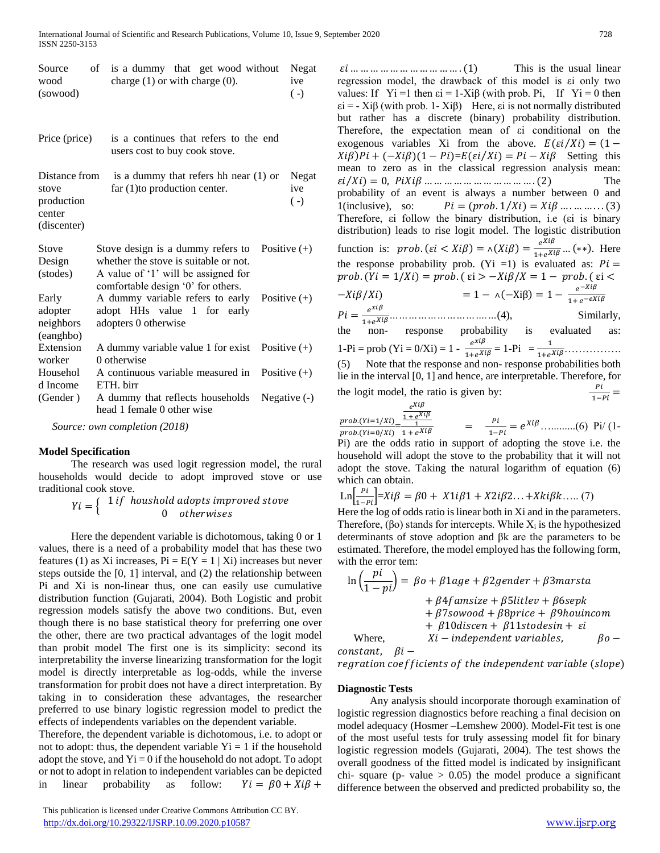| Source   | of is a dummy that get wood without Negat |                 |
|----------|-------------------------------------------|-----------------|
| wood     | charge $(1)$ or with charge $(0)$ .       | <sub>1</sub> ve |
| (sowood) |                                           | $(-)$           |

| Price (price)                                                 | is a continues that refers to the end<br>users cost to buy cook stove.                                                                                  |                |                           |
|---------------------------------------------------------------|---------------------------------------------------------------------------------------------------------------------------------------------------------|----------------|---------------------------|
| Distance from<br>stove<br>production<br>center<br>(discenter) | is a dummy that refers hh near $(1)$ or<br>far (1) to production center.                                                                                |                | Negat<br>ive<br>$(\cdot)$ |
| Stove<br>Design<br>(stodes)                                   | Stove design is a dummy refers to<br>whether the stove is suitable or not.<br>A value of '1' will be assigned for<br>comfortable design '0' for others. | Positive $(+)$ |                           |
| Early<br>adopter<br>neighbors<br>(eanghbo)                    | A dummy variable refers to early<br>adopt HHs value 1 for early<br>adopters 0 otherwise                                                                 | Positive $(+)$ |                           |
| Extension<br>worker                                           | A dummy variable value 1 for exist<br>0 otherwise                                                                                                       | Positive $(+)$ |                           |
| Househol<br>d Income                                          | A continuous variable measured in<br>ETH birr                                                                                                           | Positive $(+)$ |                           |
| (Gender)                                                      | A dummy that reflects households<br>head 1 female 0 other wise                                                                                          |                | Negative $(-)$            |

 *Source: own completion (2018)* 

## **Model Specification**

 The research was used logit regression model, the rural households would decide to adopt improved stove or use traditional cook stove.

> $Yi = \left\{ \begin{array}{c} 1 \ if \ \textit{houndshold } \textit{adopts} \ \textit{improved} \ \textit{store} \end{array} \right.$ 0 otherwises

 Here the dependent variable is dichotomous, taking 0 or 1 values, there is a need of a probability model that has these two features (1) as Xi increases,  $Pi = E(Y = 1 | Xi)$  increases but never steps outside the [0, 1] interval, and (2) the relationship between Pi and Xi is non-linear thus, one can easily use cumulative distribution function (Gujarati, 2004). Both Logistic and probit regression models satisfy the above two conditions. But, even though there is no base statistical theory for preferring one over the other, there are two practical advantages of the logit model than probit model The first one is its simplicity: second its interpretability the inverse linearizing transformation for the logit model is directly interpretable as log-odds, while the inverse transformation for probit does not have a direct interpretation. By taking in to consideration these advantages, the researcher preferred to use binary logistic regression model to predict the effects of independents variables on the dependent variable.

Therefore, the dependent variable is dichotomous, i.e. to adopt or not to adopt: thus, the dependent variable  $Y_i = 1$  if the household adopt the stove, and  $Y_i = 0$  if the household do not adopt. To adopt or not to adopt in relation to independent variables can be depicted in linear probability as follow:  $Yi = \beta 0 + Xi\beta +$ 

 This publication is licensed under Creative Commons Attribution CC BY. <http://dx.doi.org/10.29322/IJSRP.10.09.2020.p10587> [www.ijsrp.org](http://ijsrp.org/)

 … … … … … … … … … … … . (1) This is the usual linear regression model, the drawback of this model is εi only two values: If  $Y_i = 1$  then  $\varepsilon_i = 1-X_i\beta$  (with prob. Pi, If  $Y_i = 0$  then  $\epsilon i = -Xi\beta$  (with prob. 1-Xi $\beta$ ) Here,  $\epsilon i$  is not normally distributed but rather has a discrete (binary) probability distribution. Therefore, the expectation mean of εi conditional on the exogenous variables Xi from the above.  $E(\varepsilon i / X_i) = (1 Xi(\beta)Pi + (-Xi(\beta))(1 - Pi) = E(\epsilon i / Ki) = Pi - Ki\beta$  Setting this mean to zero as in the classical regression analysis mean: ⁄) = 0, … … … … … … … … … … … . (2) The probability of an event is always a number between 0 and 1(inclusive), so:  $Pi = (prob. 1/Xi) = Xi\beta \dots \dots \dots \dots (3)$ Therefore, εi follow the binary distribution, i.e (εi is binary distribution) leads to rise logit model. The logistic distribution function is:  $prob. (\varepsilon i \langle X_i \beta \rangle) = \Lambda(X_i \beta) = \frac{e^{X_i \beta}}{1 + e^{X_i \beta}} \dots (*)$ . Here the response probability prob. (Yi =1) is evaluated as:  $Pi =$ prob.  $(Yi = 1/Xi) = prob.$  ( $\epsilon i > -Xi\beta/X = 1 - prob.$  ( $\epsilon i <$  $-Xi\beta/Xi$  = 1 -  $\Lambda(-Xi\beta) = 1 - \frac{e^{-Xi\beta}}{1 + e^{-eXi\beta}}$  = 1+*………………………….…*(4), Similarly, the non- response probability is evaluated as: 1-Pi = prob (Yi = 0/Xi) = 1 -  $\frac{e^{x i \beta}}{1 + e^{x i \beta}} = 1$ -Pi =  $\frac{1}{1 + e^{x i \beta}}$ .............. (5) Note that the response and non- response probabilities both lie in the interval [0, 1] and hence, are interpretable. Therefore, for

the logit model, the ratio is given by:  $\frac{1}{1-Pi}$  =

$$
\frac{prob.(Yi=1/Xi)}{prob.(Yi=0/Xi)} - \frac{e^{Xi\beta}}{1+e^{Xi\beta}} = \frac{pi}{1-pi} = e^{Xi\beta}
$$
........(6) Pi/(1-  
Pi) are the odds ratio in support of adopting the stove i e the

Pi) are the odds ratio in support of adopting the stove i.e. the household will adopt the stove to the probability that it will not adopt the stove. Taking the natural logarithm of equation (6) which can obtain.

$$
\text{Ln}\left[\frac{pi}{1-pi}\right] = Xi\beta = \beta 0 + X1i\beta 1 + X2i\beta 2... + Xki\beta k.... (7)
$$

Here the log of odds ratio is linear both in Xi and in the parameters. Therefore, ( $\beta$ o) stands for intercepts. While  $X_i$  is the hypothesized determinants of stove adoption and βk are the parameters to be estimated. Therefore, the model employed has the following form, with the error tem:

$$
\ln\left(\frac{pi}{1-pi}\right) = \beta o + \beta 1age + \beta 2 gender + \beta 3 marsta
$$
  
+  $\beta 4 famsize + \beta 5 littlev + \beta 6 sepk$   
+  $\beta 7sowood + \beta 8price + \beta 9 houincom$   
+  $\beta 10diseen + \beta 11stodesin + ei$   
Where,  $Xi - independent variables, \beta o -$ 

 $constant, \quad \beta i -$ 

regration coefficients of the independent variable (slope)

#### **Diagnostic Tests**

 Any analysis should incorporate thorough examination of logistic regression diagnostics before reaching a final decision on model adequacy (Hosmer –Lemshew 2000). Model-Fit test is one of the most useful tests for truly assessing model fit for binary logistic regression models (Gujarati, 2004). The test shows the overall goodness of the fitted model is indicated by insignificant chi- square (p- value  $> 0.05$ ) the model produce a significant difference between the observed and predicted probability so, the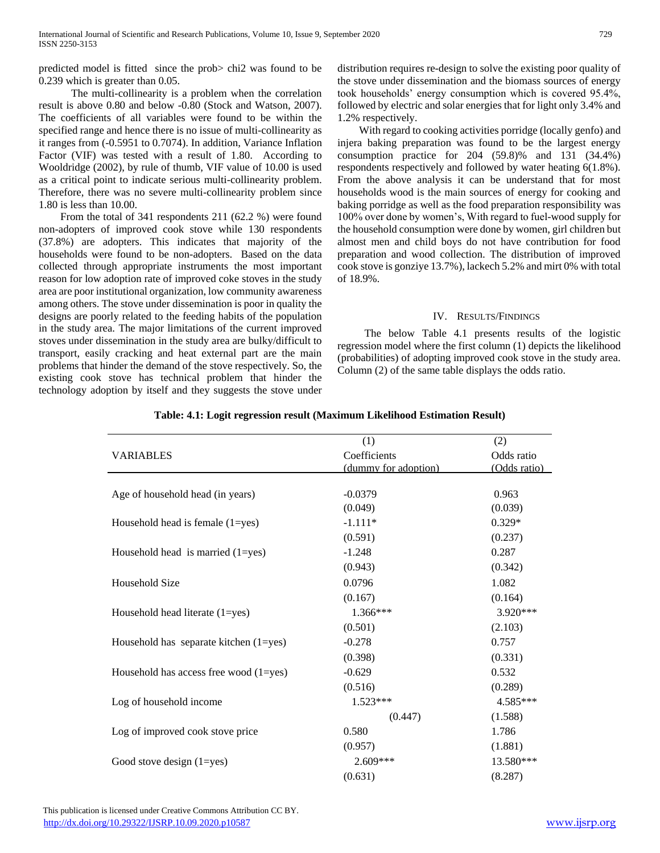predicted model is fitted since the prob> chi2 was found to be 0.239 which is greater than 0.05.

 The multi-collinearity is a problem when the correlation result is above 0.80 and below -0.80 (Stock and Watson, 2007). The coefficients of all variables were found to be within the specified range and hence there is no issue of multi-collinearity as it ranges from (-0.5951 to 0.7074). In addition, Variance Inflation Factor (VIF) was tested with a result of 1.80. According to Wooldridge (2002), by rule of thumb, VIF value of 10.00 is used as a critical point to indicate serious multi-collinearity problem. Therefore, there was no severe multi-collinearity problem since 1.80 is less than 10.00.

 From the total of 341 respondents 211 (62.2 %) were found non-adopters of improved cook stove while 130 respondents (37.8%) are adopters. This indicates that majority of the households were found to be non-adopters. Based on the data collected through appropriate instruments the most important reason for low adoption rate of improved coke stoves in the study area are poor institutional organization, low community awareness among others. The stove under dissemination is poor in quality the designs are poorly related to the feeding habits of the population in the study area. The major limitations of the current improved stoves under dissemination in the study area are bulky/difficult to transport, easily cracking and heat external part are the main problems that hinder the demand of the stove respectively. So, the existing cook stove has technical problem that hinder the technology adoption by itself and they suggests the stove under distribution requires re-design to solve the existing poor quality of the stove under dissemination and the biomass sources of energy took households' energy consumption which is covered 95.4%, followed by electric and solar energies that for light only 3.4% and 1.2% respectively.

 With regard to cooking activities porridge (locally genfo) and injera baking preparation was found to be the largest energy consumption practice for 204 (59.8)% and 131 (34.4%) respondents respectively and followed by water heating 6(1.8%). From the above analysis it can be understand that for most households wood is the main sources of energy for cooking and baking porridge as well as the food preparation responsibility was 100% over done by women's, With regard to fuel-wood supply for the household consumption were done by women, girl children but almost men and child boys do not have contribution for food preparation and wood collection. The distribution of improved cook stove is gonziye 13.7%), lackech 5.2% and mirt 0% with total of 18.9%.

## IV. RESULTS/FINDINGS

 The below Table 4.1 presents results of the logistic regression model where the first column (1) depicts the likelihood (probabilities) of adopting improved cook stove in the study area. Column (2) of the same table displays the odds ratio.

|                                            | (1)                  | (2)          |
|--------------------------------------------|----------------------|--------------|
| <b>VARIABLES</b>                           | Coefficients         | Odds ratio   |
|                                            | (dummy for adoption) | (Odds ratio) |
|                                            |                      |              |
| Age of household head (in years)           | $-0.0379$            | 0.963        |
|                                            | (0.049)              | (0.039)      |
| Household head is female $(1 = yes)$       | $-1.111*$            | $0.329*$     |
|                                            | (0.591)              | (0.237)      |
| Household head is married $(1 = yes)$      | $-1.248$             | 0.287        |
|                                            | (0.943)              | (0.342)      |
| Household Size                             | 0.0796               | 1.082        |
|                                            | (0.167)              | (0.164)      |
| Household head literate (1=yes)            | 1.366***             | 3.920***     |
|                                            | (0.501)              | (2.103)      |
| Household has separate kitchen $(1 = yes)$ | $-0.278$             | 0.757        |
|                                            | (0.398)              | (0.331)      |
| Household has access free wood $(1 = yes)$ | $-0.629$             | 0.532        |
|                                            | (0.516)              | (0.289)      |
| Log of household income                    | $1.523***$           | 4.585***     |
|                                            | (0.447)              | (1.588)      |
| Log of improved cook stove price           | 0.580                | 1.786        |
|                                            | (0.957)              | (1.881)      |
| Good stove design $(1 = yes)$              | 2.609***             | 13.580***    |
|                                            | (0.631)              | (8.287)      |

## **Table: 4.1: Logit regression result (Maximum Likelihood Estimation Result)**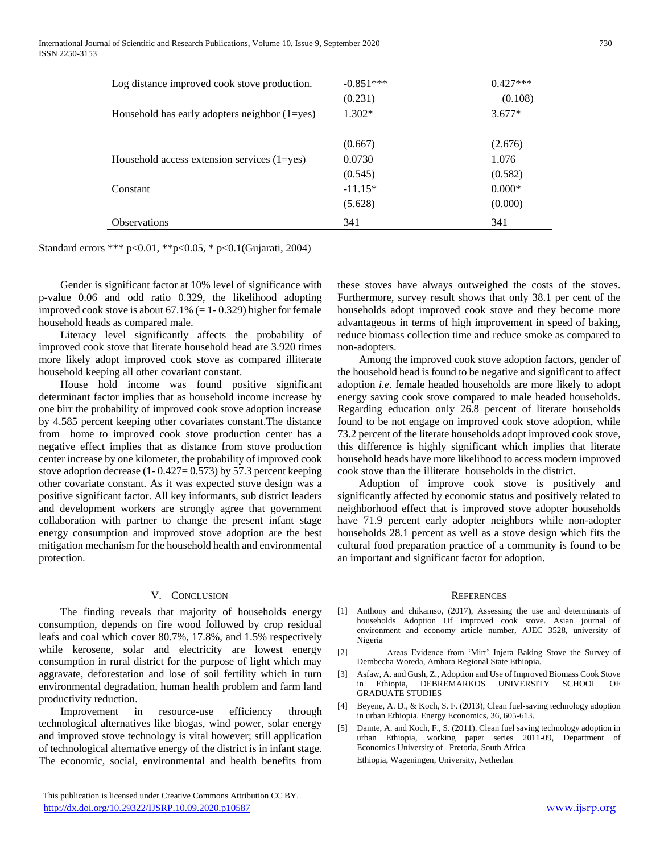| Log distance improved cook stove production.      | $-0.851***$<br>(0.231) | $0.427***$<br>(0.108) |
|---------------------------------------------------|------------------------|-----------------------|
| Household has early adopters neighbor $(1 = yes)$ | $1.302*$               | $3.677*$              |
|                                                   | (0.667)                | (2.676)               |
| Household access extension services $(1 = yes)$   | 0.0730                 | 1.076                 |
|                                                   | (0.545)                | (0.582)               |
| Constant                                          | $-11.15*$              | $0.000*$              |
|                                                   | (5.628)                | (0.000)               |
| <b>Observations</b>                               | 341                    | 341                   |

Standard errors \*\*\* p<0.01, \*\*p<0.05, \* p<0.1(Gujarati, 2004)

 Gender is significant factor at 10% level of significance with p-value 0.06 and odd ratio 0.329, the likelihood adopting improved cook stove is about  $67.1\%$  (= 1-0.329) higher for female household heads as compared male.

 Literacy level significantly affects the probability of improved cook stove that literate household head are 3.920 times more likely adopt improved cook stove as compared illiterate household keeping all other covariant constant.

 House hold income was found positive significant determinant factor implies that as household income increase by one birr the probability of improved cook stove adoption increase by 4.585 percent keeping other covariates constant.The distance from home to improved cook stove production center has a negative effect implies that as distance from stove production center increase by one kilometer, the probability of improved cook stove adoption decrease  $(1 - 0.427 = 0.573)$  by 57.3 percent keeping other covariate constant. As it was expected stove design was a positive significant factor. All key informants, sub district leaders and development workers are strongly agree that government collaboration with partner to change the present infant stage energy consumption and improved stove adoption are the best mitigation mechanism for the household health and environmental protection.

#### V. CONCLUSION

 The finding reveals that majority of households energy consumption, depends on fire wood followed by crop residual leafs and coal which cover 80.7%, 17.8%, and 1.5% respectively while kerosene, solar and electricity are lowest energy consumption in rural district for the purpose of light which may aggravate, deforestation and lose of soil fertility which in turn environmental degradation, human health problem and farm land productivity reduction.

 Improvement in resource-use efficiency through technological alternatives like biogas, wind power, solar energy and improved stove technology is vital however; still application of technological alternative energy of the district is in infant stage. The economic, social, environmental and health benefits from

 This publication is licensed under Creative Commons Attribution CC BY. <http://dx.doi.org/10.29322/IJSRP.10.09.2020.p10587> [www.ijsrp.org](http://ijsrp.org/)

these stoves have always outweighed the costs of the stoves. Furthermore, survey result shows that only 38.1 per cent of the households adopt improved cook stove and they become more advantageous in terms of high improvement in speed of baking, reduce biomass collection time and reduce smoke as compared to non-adopters.

 Among the improved cook stove adoption factors, gender of the household head is found to be negative and significant to affect adoption *i.e.* female headed households are more likely to adopt energy saving cook stove compared to male headed households. Regarding education only 26.8 percent of literate households found to be not engage on improved cook stove adoption, while 73.2 percent of the literate households adopt improved cook stove, this difference is highly significant which implies that literate household heads have more likelihood to access modern improved cook stove than the illiterate households in the district.

 Adoption of improve cook stove is positively and significantly affected by economic status and positively related to neighborhood effect that is improved stove adopter households have 71.9 percent early adopter neighbors while non-adopter households 28.1 percent as well as a stove design which fits the cultural food preparation practice of a community is found to be an important and significant factor for adoption.

#### **REFERENCES**

- [1] Anthony and chikamso, (2017), Assessing the use and determinants of households Adoption Of improved cook stove. Asian journal of environment and economy article number, AJEC 3528, university of Nigeria
- [2] Areas Evidence from 'Mirt' Injera Baking Stove the Survey of Dembecha Woreda, Amhara Regional State Ethiopia.
- [3] Asfaw, A. and Gush, Z., Adoption and Use of Improved Biomass Cook Stove in Ethiopia, DEBREMARKOS UNIVERSITY SCHOOL OF GRADUATE STUDIES
- [4] Beyene, A. D., & Koch, S. F. (2013), Clean fuel-saving technology adoption in urban Ethiopia. Energy Economics, 36, 605-613.
- [5] Damte, A. and Koch, F., S. (2011). Clean fuel saving technology adoption in urban Ethiopia, working paper series 2011-09, Department of Economics University of Pretoria, South Africa Ethiopia, Wageningen, University, Netherlan